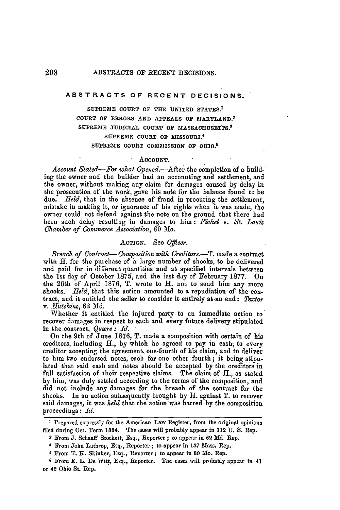# **ABSTRACTS OF RECENT DECISIONS.**

**SUPREME COURT OF THE UNITED STATES. <sup>1</sup> COURT OF ERRORS AND APPEALS OF MARYLAND. <sup>2</sup> SUPREME JUDICIAL COUR7 OF MASSACHUSETTS. <sup>3</sup> SUPREME COURT OF MISSOURI.' SUPREME COURT COMMISSION OF OHIO. <sup>5</sup>**

#### **ACCOUNT.**

*Account Stated-For what Opened.-After* the completion of a building the owner and the builder had an accounting and settlement, and the owner, without making any claim for damages caused by delay in the prosecution of the work, gave his note for the balance found to be due. *Held*, that in the absence of fraud in procuring the settlement, mistake in making it, or ignorance of his rights when it was made, the owner could not defend against the note on the ground that there had been such delay resulting in damages to him: *Fickel* v. **-***St. Louis Chamber of Commerce Association,* 80 Mo.

# **ACTION.** See *Oficer.*

*Breach of Contract- Composition with Creditors.-T.* made a contract with H. for the purchase of a large number of shooks, to be delivered and paid for in' different quantities and at specified 'intervals between the 1st day of October 1875, and the last day of February 1877. On the 26th of April 1876, T. wrote to H. not to send him any more shooks. *Held*, that this action amounted to a repudiation of the contract, and it entitled the seller to consider it entirely at an end: *Textor v. Hutchins,* **62 Md.**

Whether it entitled the injured party to an immediate action to recover damages in respect to each and every future delivery stipulated in the.contract, *Quaere: Id.*

On the 9th of June 1876, T. made a composition with certain of his creditors, including *H.,* by which he agreed to pay in cash, to every creditor accepting the agreement, one-fourth of his claim, and to deliver to him two endorsed notes, each for one other fourth; it being stipulated that said cash and iotes should be accepted by the creditors in full satisfaction of their respective claims. The claim of **H.,** as stated by him, was duly settled according to the terms of the composition, and did not include any damages for the breach of the contract for the shooks. In an action subsequently brought by H. against T. to recover said damages, it was *held* that the action-was barred by the composition proceedings: *Id.*

**<sup>1</sup>** Prepared expressly for the American Law Register, from the original opinions filed during Oct. Term **1884.** The cases will probably appear in 112 **U. S.** Rep.

**<sup>2</sup>**From **J.** Schaaff Stockett, Esq., Reporter ; to appear in **62 Md.** Rep. **<sup>3</sup>**From John Lathrop, Esq., Reporter ; to appear in **137** Mass. Rep.

<sup>4</sup> From T. K. Skinker, Esq., Reporter; to appear in **80** AMo. Rep.

**<sup>6</sup>** From **E.** L. De Witt, Esq., Reporter. The cases will probably appear in 41 or 42 Ohio St. Rep.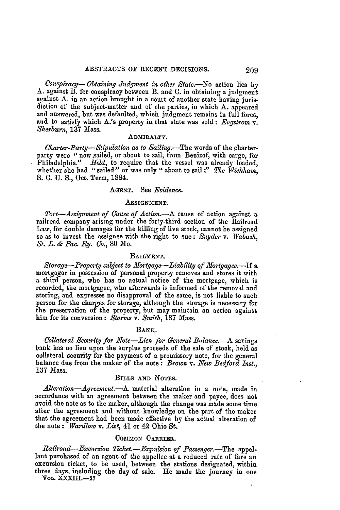*Conspiracy- Obtaining Judgment in other State.-No* action lies by A. against B. for conspiracy between B. and C. in obtaining a judgment against A. in an action brought in a court of another state having jurisdiction of the subject-matter and of the parties, in which A. appeared and answered, but was defaulted, which judgment remains in full force, and to satisfy which A.'s property in that state was sold: *Engstrom v. Sherb~urn,* 137 Mass.

# ADMIRALTY.

*Charter-Party-Stipulation, as to* Sailing.-The words of the charterparty were "now sailed, or about to sail, from Benizof, with cargo, for Philadelphia." *Held*, to require that the vessel was already loaded, whether she had "sailed" or was only "about to sail:" The Wickham, **S. C.** U. **S.,** Oct. Term, **1884.**

## **AGENT.** See *Evidence.*

#### **ASSIGNMENT.**

*Tort-Assignment of Cause of Action.-A* cause of action against a railroad company arising under the forty-third section of the Railroad Law, for double damages for the killing of live stock, cannot be assigned so as to invest, the assignee with the right to sue: *Snyder* v. *Wabash, St. L. & Pac. Ry. Co.,* **80** Io.

## BAILMENT.

*Storage-Property subject to Mortgage-Liability of Mortgagee.*--If a mortgagor in possession of personal property removes and stores it with a third person, who has no actual notice of the mortgage, which is recorded, the mortgagee, who afterwards is informed of the removal and storing, and expresses no disapproval of the same, is not liable to such person for the charges for storage, although the storage is necessary for the preservation of the property, but may maintain an action against him for its conversion: *Storms v. Smith,* 137 Mass.

#### BANK.

*Collateral Security for Note-Lien for General Balance.-A* savings bank has no lien upon the surplus proceeds of the sale of stock, held as collateral security for the payment of a promissory note, for the general balance due from the maker of the note: *Brown v. New Bedford Inst.,* **137** Mass.

# BILLS **AND NOTES.**

*Alteration-Agreement.-A* material alteration in a note, made in accordance with an agreement between the maker and payee, does not avoid the note as to the maker, although the change was made some time after the agreement and without knowledge on the part of the maker that the agreement had been made effective by the actual alteration of the note: *Wardlow v. List,* 41 or 42 Ohio St.

# COMMON CARRIER.

*Railroad-Excursion Ticket.-Expulsion of Passenger.-The* appellant purchased of an agent of the appellee at a reduced rate of fare an excursion ticket, to be used, between the stations designated, within three days. including the day of sale. He made the journey in one VoL. **XXXIII.-27**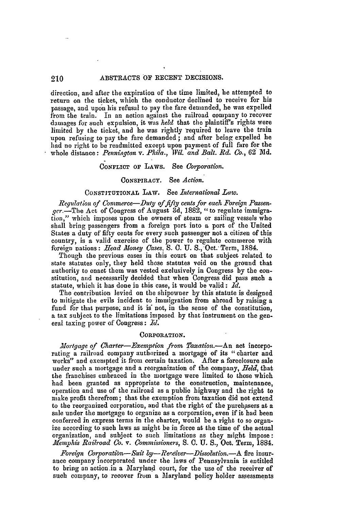# 210 ABSTRACTS OF RECENT DECISIONS.

direction, and after the expiration of the time limited, be attempted to return on the ticket, which the conductor declined to receive for his passage, and upon his refusal to pay the fire demanded, **he** was expelled from the train. In an action against the railroad company to recover damages for such expulsion, it was *held* that the plaintiff's rights were limited **by** the ticket, and he was rightly required to leave the train upon refusing to pay the fare demanded; and after being expelled he had no right to be readmitted except upon payment of full fare for the whole distance: *Pennington v. Phila., Wil. and Balt. Rd. Co.,* 62" **Md.**

# **CONFLICT** OF LAWS. See *Corporation.*

# CONSPIRACY. See *Action.*

# CONSTITUTIONAL LAW. See *International Law.*

*Regulation of Commerce-Duly of fifty cents for each Foreign Passenger.-The* Act of Congress of August 3d, 1882, "to regulate immigration," which imposes upon the owners of steam or sailing vessels who shall bring passengers from a foreign port into a port of the United States a duty of fifty cents for every such passenger not a citizen of this country, is a valid exercise of the power to regulate commerce with foreign nations: *Head Money Cases,* S. C. U. **S.,** Oct.' Term, 1884.

Though the previous cases in this court on that subject related to state statutes only, they held those statutes void on the ground that authority to enact them was vested exclusively in Congress by the constitution, and necessarily decided that when Congress did pass such a statute, which it has done in this case, it would be valid : *Id.*

The contribution levied on the shipowner by this statute is designed to mitigate the evils incident to immigration from abroad by raising a **fund** for that purpose, and it **is** not, in the sense of the constitution, a tax subject to the limitations imposed by that instrument on the general taxing power of Congress : *Id.*

#### **CORPORATION.**

*Mortgage of Charter-Exemption from Taxation.-An* act incorporating a railroad company authorized a mortgage of its "charter and works" and exempted it from certain taxation. After a foreclosure sale under such a mortgage and a reorganization of the company, *Held,* that the franchises embraced in the mortgage were limited to those which had been granted as appropriate to the construction, maintenance, operation and use of the railroad as a public highway and the right to make profit therefrom; that the exemption from taxation did not extend to the reorganized corporation, and that the right of the purchasers at a sale under the mortgage to organize as a corporation, even if it had been conferred in express terms in the charter, would be a right to so organize according to such laws as might be in force at the time of the actual organization, and subject to such limitations as they might impose: *Memphis Railroad Co. v. Commissioners,* S. C. U. *S.,* Oct. Term, **1884.**

*Foreign Corporation- Suit by-?eceiver-Dhssolution.-A* fire insurance company incorporated under the laws of Pennsylvania is entitled to bring an action.in a Maryland court, for the use of the receiver of such company, to recover ftom a Maryland policy holder assessments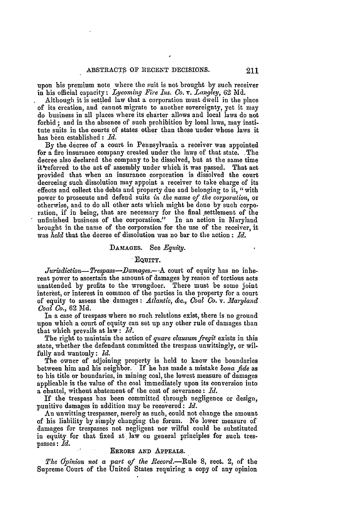upon his premium note where the suit is not brought **by** such receiver in his official capacity: *Lycoming Fire Ins. Co. v. Langley*, 62 Md.

Although it is settled law that a corporation must dwell in the place of its creation, and cannot migrate to another sovereignty, yet it may do business in all places where its charter allows and local laws do not forbid ; and in the absence of such prohibition by local laws, may institute suits in the courts of states other than those under whose laws it has been established: *Id.*

**By** the decree of a court in Pennsylvania a receiver was appointed for a fire insurance company created under the laws of that state. The decree also declared the company to be dissolved, but at the same time it'referred to the act of assembly under which it was passed. That act provided that when an insurance corporation is dissolved the court decreeing such dissolution may appoint a receiver to take charge of its effects and collect the debts and property due and belonging to **it,** "with power to prosecute and defend suits *in the name of the corporation,* or otherwise, and to do all other acts which might be done by such corporation, if in being, that are necessary for the final settlement of the unfinished business of the corporation." In an action in Maryland brought in the name of the corporation for the use of the receiver, it was *held* that the decree of dissolution was no bar to the action **:** *Id.*

#### **DAMAGES.** See *Egnity.*

### **EQUITY.**

*Jurisdiction-Trespass-Damages.- .A* court of equity has no inherent power to ascertain the amount of damages by reason of tortious acts unattended by profits to the wrongdoer. There must be some joint interest, or interest in common of the parties in the property for a court of equity to assess the damages: *Atlantic, &c., Coal Co.* v. *.Marland Coal Co.,* **62 Md.**

In a case of trespass where no such relations exist, there is no ground upon which a court of equity can set up any other rule of damages than that which prevails at law: *Id.*

The right to maintain the action of *guare clausumfregit* exists in this state, whether the defendant committed the trespass unwittingly, or wilfully and wantonly: *Id.*

The owner of adjoining property is held to know the boundaries between him and his neighbor. If he has made a mistake *bona fide* as to his title or boundaries, in mining coal, the lowest measure of damages applicable is the value of the coal immediately upon its conversion into a chattel, without abatement of the cost of severance: *Id.*

If the trespass has been committed through negligence or design, punitive damages in addition may be recovered: *Id.*

An unwitting trespasser, merely as such, could not change the amount of his liability by simply changing the forum. No lower measure of damages for trespasses not negligent nor wilful could be substituted in equity for that fixed at law on general principles for such trespasses: *Id.*

# ERRORS AND **APPEALS.**

*The Opinion not* a *part of the Record.-Rule* 8, sect. 2, of the Supreme Court of the United States requiring a copy of any opinion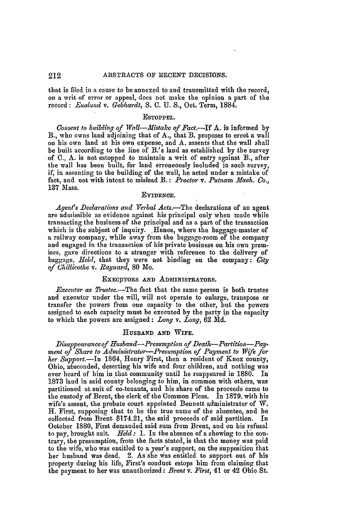that is filed in a cause to be annexed to and transmitted with the record, on a writ of error or appeal, does not make the opinion a part of the record : *Enaland v. Gebhardt, S.* **0.** U. S., Oct. Term, 1884.

#### ESTOPPEL.

*Cosent to building of Wall-AMistake of Fact.-If* A. is informed by B., who owns land adjoining that of A., that B. proposes to erect a wall on his own land at his own expense, and A. assents that the wall shall be built according to the line of B.'s land as established by the survey of **C.,** A. is not estopped to maintain a writ of entry against B., after the wall has been built, for land erroneously included in such survey, if, in assenting to the building of the wall, he acted under a mistake of fact, and not with intent to mislead B.: *Proctor* v. *Putnam Mach. Co.,* **137** Mass.

#### EVIDENCE.

*Agent's Declarations and Verbal Acts.-The* declarations of an agent are admissible as evidence against his principal only when made while transacting the business of the principal and as a part of the transaction which is the subject of inquiry. Hence, where the baggage-master of a railway company, while away from the baggage-room of the company and engaged in the transaction of his private business on his own premises, gave directions to a stranger with reference to the delivery of baggage, *Held,* that they were not binding on the company: City *of Chillicothe v. Raynard,* **80** Mo.

#### EXECUTORS AND **ADMINISTRATORS.**

*Executor as Trustee.*—The fact that the same person is both trustee and executor under the will, will not operate to enlarge, transpose or transfer the powers from one capacity **to** the other, but the powers assigned to each capacity must be executed by the party in the capacity to which the powers are assigned: *Long v. Long,* **62** *Md.*

## **HUSBAND AND WIFE.**

*Disappearance of Husband-Presumption of Death-Partition-Paymeat of Share to Administrator-Presumption of Payment to Wife for her Sutport.-In* 1864, Henry First, then a resident of Knox county, Ohio, absconded, deserting his wife and four children, and nothing was ever heard of him in that community until he reappeared in 1880. In 1873 land in said county belonging to him, in common with others, was partitioned at suit of co-tenants, and his share of the proceeds came to the custody of Brent, the clerk of the Common Pleas. In 1879. with his wife's assent, the probate court appointed Bennett administrator of W. H. First, supposing that to be the true name of the absentee, and **he** collected from Brent \$174.21, the said proceeds of said partition. In October 1880, First demanded said sum from Brent, and on his refusal to pay, brought suit. *Held:* 1. In the absence of a showing to the contrary, the presumption, from the facts stated, is that the money was paid to the wife, who was entitled to a year's support, on the supposition that her husband was dead. 2. As she was entitled to support out of his property during his life, First's conduct estops him from claiming that the payment to her was unauthorized: *Brent v. First,* 41 or 42 Ohio St.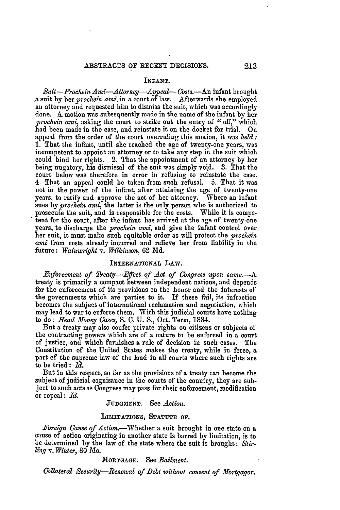#### **INFANT.**

*Suit -Prochein Ami-Attorey-Appeal- Costs.-An* infant brought .a suit by her *prochein ami,* in a court of law. Afterwards she employed an attorney and requested him to dismiss the suit, which was accordingly done. **A** motion was subsequently made in the name of the infant by her *prochein ami,* asking the court to strike out the entry of "off," which had been made in the case, and reinstate it on the docket for trial. On appeal from the order of the court overruling this motion, it was *held:* 1. That the infant, until she reached the age of twenty-one years, was incompetent to appoint an attorney or to take any step in the suit which could bind her rights. 2. That the appointment of an attorney by her being nugatory, his dismissal of the suit was simply void. 3. That the court below was therefore in error in refusing to reinstate the case. 4. That an appeal could **be** taken from such refusal. 5. That it was not in the power of the infant, after attaining the age of twenty-one years, to ratify and approve the act of her attorney. Where an infant sues by *prochein ami*, the latter is the only person who is authorized to prosecute the suit, and is responsible for the costs. While it is competent for the court, after the infant has arrived at the age of twenty-one years, to discharge the *prochein ami,* and give the infant control over her suit, it must make such equitable order as will protect the *prochein ami* from costs already incurred and relieve her from liability in the future: *Wainwright* v. *Wilkinson,* 62 **Md.**

#### **INTERNATIONAL** LAW.

*Enforcement of Treaty-Effect of Act of Congress upon same.-A* treaty is primarily a compact between independent nations, and depends for the enforcement of its provisions on the honor and the interests of the governments which are parties to it. If these fail, its infraction becomes the subject of international reclamation and negotiation, which may lead to war to enforce them. With this judicial courts have nothing to do: *Head Money Cases,* S. C. U. **S.,** Oct. Term, 1884.

But a treaty may also confer private rights on citizens or subjects of the contracting powers which are of a nature to be enforced in a court of justice, and which furnishes a rule of decision in such cases. The Constitution of the United States makes the treaty, while in force, a part of the supreme law of the land in all courts where such rights are to be tried: *Id.*

But in this respect, so far as the provisions of a treaty can become the subject of judicial cognisance in the courts of the country, they are subject to such acts as Congress may pass for their enforcement, modification or repeal: *Id.*

# **JUDGMENT.** See *Action.*

# **LIMITATIONS, STATUTE OF.**

*Foreign Cause of* Action.-Whether a suit brought in one state on a cause of action originating in another state is barred **by** limitation, is to be determined **by** the law of the state where the suit is brought: *Stirling v. Winter,* **80** Mo.

## **MORTGAGE.** See *Bailment.*

*Collateral Security-Renewal of Debt without consent of Mortgagor.*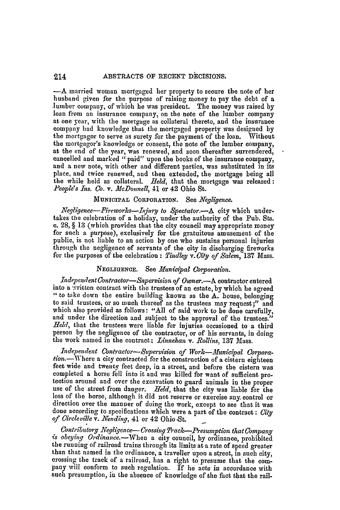#### ABSTRACTS **OF** RECENT DECISIONS. 214

-A married woman mortgaged her property to secure the note of her husband given for the purpose of raising money to pay the debt of a lumber company, of which he was president. The money was raised by loan from an insurance company, on the note of the lumber company at one year, with the mortgage as collateral thereto, and the insurance company had knowledge that the mortgaged property was designed by the mortgagor to serve as surety for the payment of the loan. Without the mortgagor's knowledge or consent, the note of the lumber company, at the end of the year, was renewed, and soon thereafter surrendered, cancelled and marked "paid" upon the books of the insurance company, and a new note, with other and different parties, was substituted in its place, and twice renewed, and then extended, the mortgage being all the while held as collateral. *Held*, that the mortgage was released: *People's Ins. Co. v. McDonnell,* 41 or 42 Ohio St.

# **MUNICIPAL CORPORATION.** See *Negligence.*

*Negligence-Fireworks-njury to Spectator.-A* **city** which undertakes the celebration of a holiday, under the authority of the **Pub.** Sts. **c.** 28, § 13 (which provides that the city council may appropriate money for such a purpose), exclusively for the gratuitous amusement of the through the negligence of servants of the city in discharging fireworks for the purposes of the celebration : *Tindley v. City of Salem,* 137 Mass.

# **NEGLIGENCE.** See *tunicipal Cororation.*

*Independent Contractor-Snpervision of Owner.-A* contractor entered into a written contract with the trustees of an estate, by which he agreed " to take down the entire building known as the A. house, belonging to said trustees, or so much thereof as the trustees may request;" and which also provided as follows: "All of said work to be done carefully, and under the direction and subject to the approval of the trustees." Held, that the trustees were liable for injuries occasioned to a third person by the negligence of the contractor, or of his servants, in doing the work named in the contract; Linnehan *v. Rollins,* 137 Mass.

*independent Contractor-Supervision of Work- Municipal Corpora*tion.-Where a city contracted for the construction of a cistern eighteen feet wide and twenty feet deep, in a street, and before the cistern was completed a horse fell into it and was killed for want of sufficient protection around and over the excavation to guard animals in the proper use of the street from danger. *J7eld,* that the city was liable for the loss of the horse, although it did not reserve or exercise any. control or direction over the manner of doing the work, except to see that it was done according to specifications which were a part of the contract: *City* of Circleville v. Nending, 41 or 42 Ohio St.

*Contributory Negligence- Crossing Track-Presumption that Company is obeying Ordinance.-When* a city council, **by** ordinance, prohibited the running of railroad trains through its limits at a rate of speed greater than that named in the ordinance, a traveller upon a street, in such city, crossing the track of a railroad, has a right to presume that the company will conform to such regulation. If he acts in accordance with such presumption, in the absence of knowledge of the fact that the rail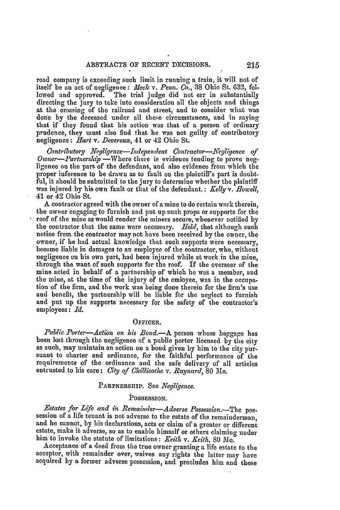road company is exceeding such limit in running a train, it will not of itself be an act of negligence: *Meek v. Penn. Co.,* **38** Ohio St. **632,** followed and approved. The trial judge did not err in substantially directing the jury to take into consideration **all** the objects and things at the crossing of the railroad and street, and to consider what was done **by** the deceased under all these circumstances, and in saying that if they found that his action was that of a person of ordinary prudence, they must also find that he was not guilty of contributory negligence: *Hart v. Devereux,* 41 or 42 Ohio St.

*Contributory Negligence--Independent Contractor--Negligence of Owner--Partnership* --Where there is evidence tending to prove negligence on the part of the defendant, and also evidence from which the proper inference to be drawn as to fault on the plaintiff's part is doubtful, it should be submitted to the jury to determine whether the plaintiff was injured by his own fault or that of the defendant.: *Kellg v. Rlowell,* 41 or 42 Ohio St.

A contractor agreed with the owner of a mine to do certain work therein, the owner engaging to furnish and put up such props or supports for the roof of the mine as would render the miners secure, whenever notified **by** the contractor that the same were necessary. *Held,* that although such notice from the contractor may not have been received by the owner, the owner, if he had actual knowledge that such supports were necessary, became liable in damages to an employee of the contractor, who, without negligence on his own part, had been injured while at work in the mine, through the want of such supports for the roof. If the overseer of the mine acted in behalf of a partnership of which he was a member, and the mine, at the time of the injury of the emloyee, was in the occupation of the firm, and the work was being done therein for the firm's use and benefit, the partnership will be liable for the neglect to furnish and put up the supports necessary for the safety of the contractor's employees: *Id.*

#### OFFICER.

*Public Porter-Action on his Bond.-A* person whose baggage has been lost through the negligence of a public porter licensed **by** the city as such, may maintain an action on a bond given by him to the city pursuant to charter and ordinance, for the faithful performance of the requirements of the ordinance and the safe delivery of all articles entrusted to his care: *City of Chillicothe v. Raynard*, 80 Mo.

# PARTNERSHIP. See *Negligence.*

# **POSSESSION.**

*Estates for Life and in Remainder-Adverse Possession.-The* possession of a life tenant is not adverse to the estate of the remainderman, and he cannot, by his declarations, acts or claim of a greater or different estate, make it adverse, so as to enable himself or others claiming under him to invoke the statute of limitations: *Keith v. Keith,* 80 **Mo.**

Acceptance of a deed from the true owner granting a life estate to the acceptor, with remainder over, waives any rights the latter may have acquired by a former adverse possession, and precludes him and those